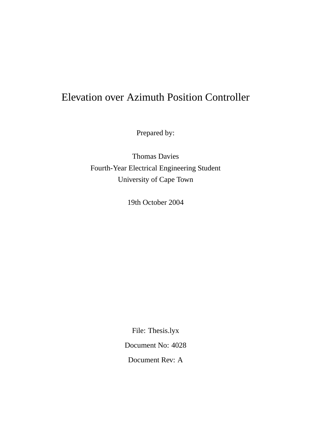## Elevation over Azimuth Position Controller

Prepared by:

Thomas Davies Fourth-Year Electrical Engineering Student University of Cape Town

19th October 2004

File: Thesis.lyx Document No: 4028 Document Rev: A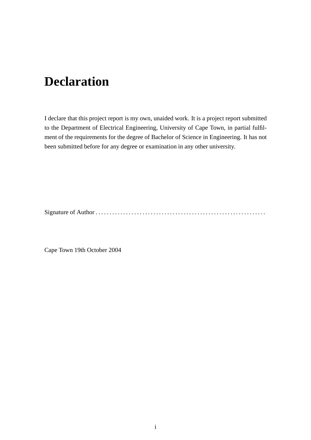## **Declaration**

I declare that this project report is my own, unaided work. It is a project report submitted to the Department of Electrical Engineering, University of Cape Town, in partial fulfilment of the requirements for the degree of Bachelor of Science in Engineering. It has not been submitted before for any degree or examination in any other university.

Signature of Author . . . . . . . . . . . . . . . . . . . . . . . . . . . . . . . . . . . . . . . . . . . . . . . . . . . . . . . . . . . . . .

Cape Town 19th October 2004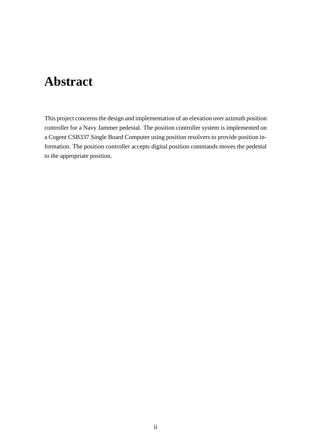## **Abstract**

This project concerns the design and implementation of an elevation over azimuth position controller for a Navy Jammer pedestal. The position controller system is implemented on a Cogent CSB337 Single Board Computer using position resolvers to provide position information. The position controller accepts digital position commands moves the pedestal to the appropriate position.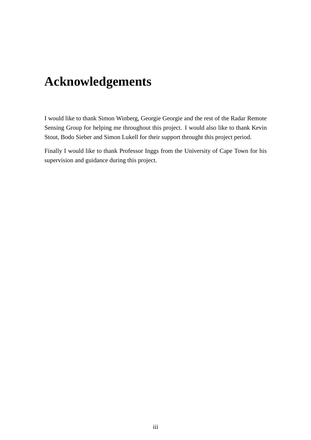## **Acknowledgements**

I would like to thank Simon Winberg, Georgie Georgie and the rest of the Radar Remote Sensing Group for helping me throughout this project. I would also like to thank Kevin Stout, Bodo Sieber and Simon Lukell for their support throught this project period.

Finally I would like to thank Professor Inggs from the University of Cape Town for his supervision and guidance during this project.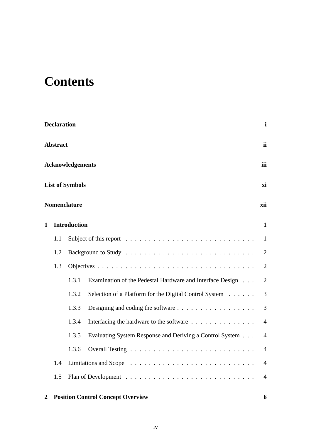## **Contents**

|   | <b>Declaration</b> |                         |                                                                                            | $\mathbf{i}$   |  |
|---|--------------------|-------------------------|--------------------------------------------------------------------------------------------|----------------|--|
|   | <b>Abstract</b>    |                         |                                                                                            |                |  |
|   |                    | <b>Acknowledgements</b> |                                                                                            | iii            |  |
|   |                    | <b>List of Symbols</b>  |                                                                                            | xi             |  |
|   |                    | <b>Nomenclature</b>     |                                                                                            | xii            |  |
| 1 |                    | <b>Introduction</b>     |                                                                                            | $\mathbf{1}$   |  |
|   | 1.1                |                         | Subject of this report $\dots \dots \dots \dots \dots \dots \dots \dots \dots \dots \dots$ | 1              |  |
|   | 1.2                |                         |                                                                                            | $\overline{2}$ |  |
|   | 1.3                |                         |                                                                                            | $\overline{2}$ |  |
|   |                    | 1.3.1                   | Examination of the Pedestal Hardware and Interface Design                                  | $\overline{2}$ |  |
|   |                    | 1.3.2                   | Selection of a Platform for the Digital Control System                                     | 3              |  |
|   |                    | 1.3.3                   | Designing and coding the software $\dots \dots \dots \dots \dots \dots$                    | 3              |  |
|   |                    | 1.3.4                   | Interfacing the hardware to the software                                                   | $\overline{4}$ |  |
|   |                    | 1.3.5                   | Evaluating System Response and Deriving a Control System                                   | $\overline{4}$ |  |
|   |                    | 1.3.6                   |                                                                                            | 4              |  |
|   | 1.4                |                         |                                                                                            | $\overline{4}$ |  |
|   | 1.5                |                         |                                                                                            | $\overline{4}$ |  |
|   |                    |                         |                                                                                            |                |  |

### **2 Position Control Concept Overview 6**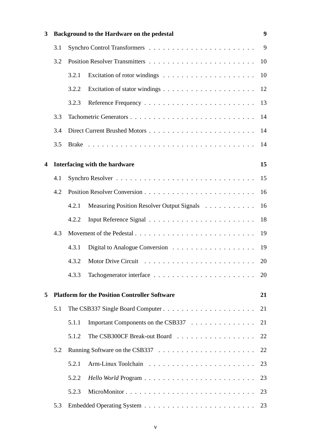| 3 |     |       | Background to the Hardware on the pedestal           | 9  |
|---|-----|-------|------------------------------------------------------|----|
|   | 3.1 |       |                                                      | 9  |
|   | 3.2 |       |                                                      | 10 |
|   |     | 3.2.1 |                                                      | 10 |
|   |     | 3.2.2 |                                                      | 12 |
|   |     | 3.2.3 |                                                      | 13 |
|   | 3.3 |       |                                                      | 14 |
|   | 3.4 |       |                                                      | 14 |
|   | 3.5 |       |                                                      | 14 |
| 4 |     |       | Interfacing with the hardware                        | 15 |
|   | 4.1 |       |                                                      | 15 |
|   | 4.2 |       |                                                      | 16 |
|   |     | 4.2.1 | Measuring Position Resolver Output Signals           | 16 |
|   |     | 4.2.2 |                                                      | 18 |
|   | 4.3 |       |                                                      | 19 |
|   |     | 4.3.1 |                                                      | 19 |
|   |     | 4.3.2 |                                                      | 20 |
|   |     | 4.3.3 |                                                      | 20 |
| 5 |     |       | <b>Platform for the Position Controller Software</b> | 21 |
|   | 5.1 |       |                                                      | 21 |
|   |     | 5.1.1 | Important Components on the CSB337                   | 21 |
|   |     | 5.1.2 | The CSB300CF Break-out Board                         | 22 |
|   | 5.2 |       |                                                      | 22 |
|   |     | 5.2.1 |                                                      | 23 |
|   |     | 5.2.2 |                                                      | 23 |
|   |     | 5.2.3 |                                                      | 23 |
|   | 5.3 |       |                                                      | 23 |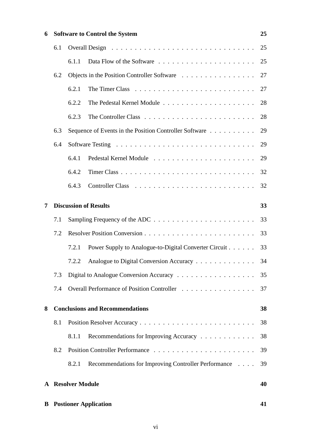| 6 |     |                          | <b>Software to Control the System</b>                  | 25 |
|---|-----|--------------------------|--------------------------------------------------------|----|
|   | 6.1 |                          |                                                        | 25 |
|   |     | 6.1.1                    |                                                        | 25 |
|   | 6.2 |                          | Objects in the Position Controller Software            | 27 |
|   |     | 6.2.1                    |                                                        | 27 |
|   |     | 6.2.2                    |                                                        | 28 |
|   |     | 6.2.3                    |                                                        | 28 |
|   | 6.3 |                          | Sequence of Events in the Position Controller Software | 29 |
|   | 6.4 |                          |                                                        | 29 |
|   |     | 6.4.1                    |                                                        | 29 |
|   |     | 6.4.2                    |                                                        | 32 |
|   |     | 6.4.3                    |                                                        | 32 |
| 7 |     |                          | <b>Discussion of Results</b>                           | 33 |
|   | 7.1 |                          |                                                        | 33 |
|   | 7.2 |                          |                                                        | 33 |
|   |     | 7.2.1                    | Power Supply to Analogue-to-Digital Converter Circuit  | 33 |
|   |     | 7.2.2                    | Analogue to Digital Conversion Accuracy                | 34 |
|   | 7.3 |                          |                                                        | 35 |
|   | 7.4 |                          | Overall Performance of Position Controller             | 37 |
| 8 |     |                          | <b>Conclusions and Recommendations</b>                 | 38 |
|   | 8.1 |                          |                                                        | 38 |
|   |     | 8.1.1                    | Recommendations for Improving Accuracy                 | 38 |
|   | 8.2 |                          |                                                        | 39 |
|   |     | 8.2.1                    | Recommendations for Improving Controller Performance   | 39 |
|   |     | <b>A</b> Resolver Module |                                                        | 40 |
|   |     |                          |                                                        |    |
| B |     |                          | <b>Postioner Application</b>                           | 41 |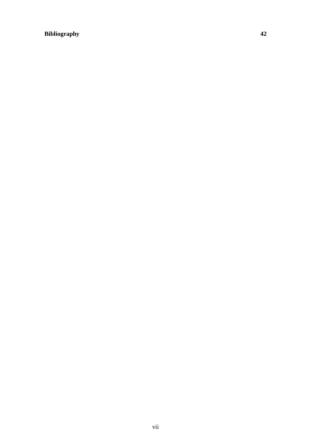## **Bibliography 42**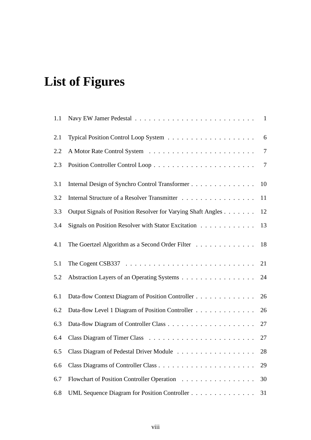# **List of Figures**

| 1.1 |                                                                                              |                 |
|-----|----------------------------------------------------------------------------------------------|-----------------|
| 2.1 |                                                                                              | - 6             |
| 2.2 |                                                                                              | $7\phantom{.0}$ |
| 2.3 |                                                                                              | $7\phantom{.0}$ |
| 3.1 | Internal Design of Synchro Control Transformer 10                                            |                 |
| 3.2 | Internal Structure of a Resolver Transmitter                                                 | 11              |
| 3.3 | Output Signals of Position Resolver for Varying Shaft Angles                                 | 12              |
| 3.4 | Signals on Position Resolver with Stator Excitation                                          | 13              |
| 4.1 | The Goertzel Algorithm as a Second Order Filter 18                                           |                 |
| 5.1 | The Cogent CSB337 $\ldots \ldots \ldots \ldots \ldots \ldots \ldots \ldots \ldots \ldots 21$ |                 |
| 5.2 | Abstraction Layers of an Operating Systems                                                   | 24              |
| 6.1 | Data-flow Context Diagram of Position Controller                                             | 26              |
| 6.2 | Data-flow Level 1 Diagram of Position Controller                                             | 26              |
| 6.3 |                                                                                              | 27              |
| 6.4 |                                                                                              | 27              |
|     | 6.5 Class Diagram of Pedestal Driver Module 28                                               |                 |
| 6.6 |                                                                                              | 29              |
| 6.7 | Flowchart of Position Controller Operation                                                   | 30              |
| 6.8 | UML Sequence Diagram for Position Controller                                                 | 31              |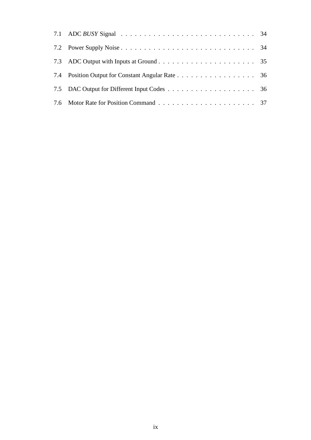| 7.4 Position Output for Constant Angular Rate 36 |  |
|--------------------------------------------------|--|
|                                                  |  |
|                                                  |  |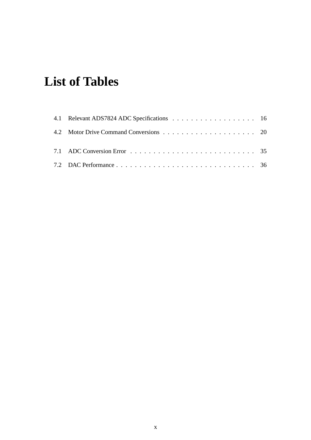# **List of Tables**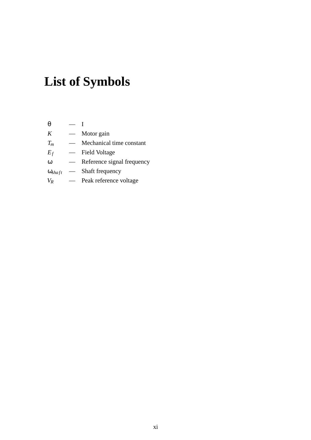# **List of Symbols**

| θ                       |                            |
|-------------------------|----------------------------|
| K                       | Motor gain                 |
| $T_m$                   | Mechanical time constant   |
| $E_f$                   | Field Voltage              |
| $\omega$                | Reference signal frequency |
| $\omega_{\text{shaff}}$ | Shaft frequency            |
| $V_R$                   | Peak reference voltage     |
|                         |                            |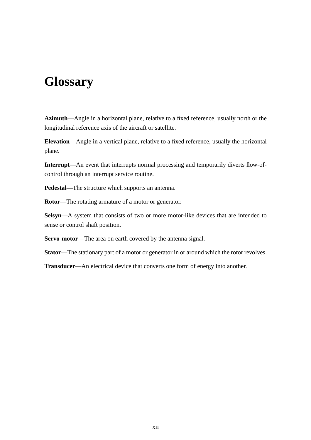## **Glossary**

**Azimuth**—Angle in a horizontal plane, relative to a fixed reference, usually north or the longitudinal reference axis of the aircraft or satellite.

**Elevation**—Angle in a vertical plane, relative to a fixed reference, usually the horizontal plane.

**Interrupt**—An event that interrupts normal processing and temporarily diverts flow-ofcontrol through an interrupt service routine.

**Pedestal**—The structure which supports an antenna.

**Rotor**—The rotating armature of a motor or generator.

**Selsyn**—A system that consists of two or more motor-like devices that are intended to sense or control shaft position.

**Servo-motor**—The area on earth covered by the antenna signal.

**Stator**—The stationary part of a motor or generator in or around which the rotor revolves.

**Transducer**—An electrical device that converts one form of energy into another.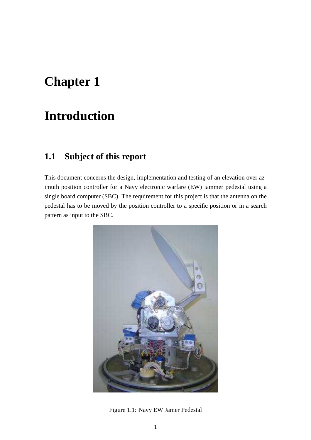## **Chapter 1**

## **Introduction**

## **1.1 Subject of this report**

This document concerns the design, implementation and testing of an elevation over azimuth position controller for a Navy electronic warfare (EW) jammer pedestal using a single board computer (SBC). The requirement for this project is that the antenna on the pedestal has to be moved by the position controller to a specific position or in a search pattern as input to the SBC.



Figure 1.1: Navy EW Jamer Pedestal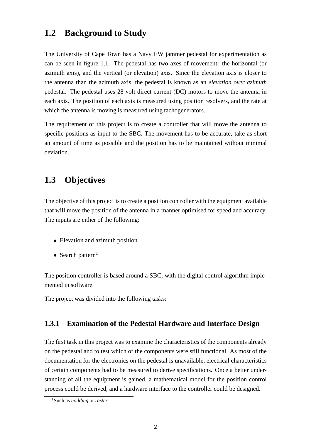### **1.2 Background to Study**

The University of Cape Town has a Navy EW jammer pedestal for experimentation as can be seen in figure 1.1. The pedestal has two axes of movement: the horizontal (or azimuth axis), and the vertical (or elevation) axis. Since the elevation axis is closer to the antenna than the azimuth axis, the pedestal is known as an *elevation over azimuth* pedestal. The pedestal uses 28 volt direct current (DC) motors to move the antenna in each axis. The position of each axis is measured using position resolvers, and the rate at which the antenna is moving is measured using tachogenerators.

The requirement of this project is to create a controller that will move the antenna to specific positions as input to the SBC. The movement has to be accurate, take as short an amount of time as possible and the position has to be maintained without minimal deviation.

### **1.3 Objectives**

The objective of this project is to create a position controller with the equipment available that will move the position of the antenna in a manner optimised for speed and accuracy. The inputs are either of the following:

- Elevation and azimuth position
- Search pattern<sup>1</sup>

The position controller is based around a SBC, with the digital control algorithm implemented in software.

The project was divided into the following tasks:

#### **1.3.1 Examination of the Pedestal Hardware and Interface Design**

The first task in this project was to examine the characteristics of the components already on the pedestal and to test which of the components were still functional. As most of the documentation for the electronics on the pedestal is unavailable, electrical characteristics of certain components had to be measured to derive specifications. Once a better understanding of all the equipment is gained, a mathematical model for the position control process could be derived, and a hardware interface to the controller could be designed.

<sup>1</sup>Such as *nodding* or *raster*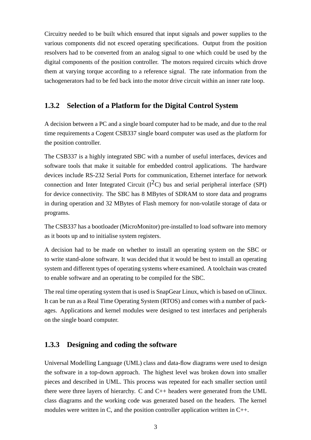Circuitry needed to be built which ensured that input signals and power supplies to the various components did not exceed operating specifications. Output from the position resolvers had to be converted from an analog signal to one which could be used by the digital components of the position controller. The motors required circuits which drove them at varying torque according to a reference signal. The rate information from the tachogenerators had to be fed back into the motor drive circuit within an inner rate loop.

#### **1.3.2 Selection of a Platform for the Digital Control System**

A decision between a PC and a single board computer had to be made, and due to the real time requirements a Cogent CSB337 single board computer was used as the platform for the position controller.

The CSB337 is a highly integrated SBC with a number of useful interfaces, devices and software tools that make it suitable for embedded control applications. The hardware devices include RS-232 Serial Ports for communication, Ethernet interface for network connection and Inter Integrated Circuit  $(I^2C)$  bus and serial peripheral interface (SPI) for device connectivity. The SBC has 8 MBytes of SDRAM to store data and programs in during operation and 32 MBytes of Flash memory for non-volatile storage of data or programs.

The CSB337 has a bootloader (MicroMonitor) pre-installed to load software into memory as it boots up and to initialise system registers.

A decision had to be made on whether to install an operating system on the SBC or to write stand-alone software. It was decided that it would be best to install an operating system and different types of operating systems where examined. A toolchain was created to enable software and an operating to be compiled for the SBC.

The real time operating system that is used is SnapGear Linux, which is based on uClinux. It can be run as a Real Time Operating System (RTOS) and comes with a number of packages. Applications and kernel modules were designed to test interfaces and peripherals on the single board computer.

#### **1.3.3 Designing and coding the software**

Universal Modelling Language (UML) class and data-flow diagrams were used to design the software in a top-down approach. The highest level was broken down into smaller pieces and described in UML. This process was repeated for each smaller section until there were three layers of hierarchy. C and C++ headers were generated from the UML class diagrams and the working code was generated based on the headers. The kernel modules were written in C, and the position controller application written in C++.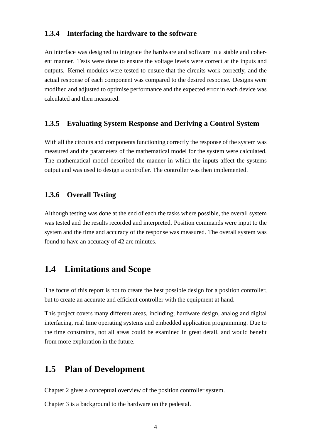#### **1.3.4 Interfacing the hardware to the software**

An interface was designed to integrate the hardware and software in a stable and coherent manner. Tests were done to ensure the voltage levels were correct at the inputs and outputs. Kernel modules were tested to ensure that the circuits work correctly, and the actual response of each component was compared to the desired response. Designs were modified and adjusted to optimise performance and the expected error in each device was calculated and then measured.

#### **1.3.5 Evaluating System Response and Deriving a Control System**

With all the circuits and components functioning correctly the response of the system was measured and the parameters of the mathematical model for the system were calculated. The mathematical model described the manner in which the inputs affect the systems output and was used to design a controller. The controller was then implemented.

#### **1.3.6 Overall Testing**

Although testing was done at the end of each the tasks where possible, the overall system was tested and the results recorded and interpreted. Position commands were input to the system and the time and accuracy of the response was measured. The overall system was found to have an accuracy of 42 arc minutes.

### **1.4 Limitations and Scope**

The focus of this report is not to create the best possible design for a position controller, but to create an accurate and efficient controller with the equipment at hand.

This project covers many different areas, including; hardware design, analog and digital interfacing, real time operating systems and embedded application programming. Due to the time constraints, not all areas could be examined in great detail, and would benefit from more exploration in the future.

### **1.5 Plan of Development**

Chapter 2 gives a conceptual overview of the position controller system.

Chapter 3 is a background to the hardware on the pedestal.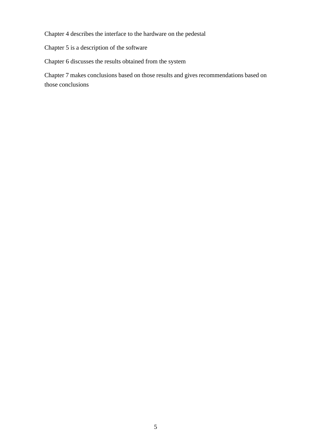Chapter 4 describes the interface to the hardware on the pedestal

Chapter 5 is a description of the software

Chapter 6 discusses the results obtained from the system

Chapter 7 makes conclusions based on those results and gives recommendations based on those conclusions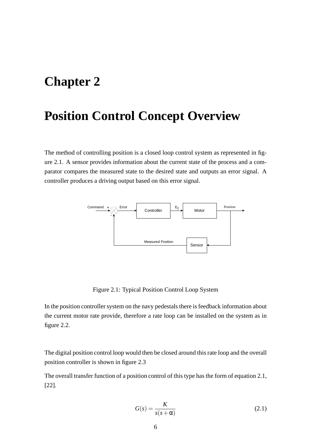## **Chapter 2**

## **Position Control Concept Overview**

The method of controlling position is a closed loop control system as represented in figure 2.1. A sensor provides information about the current state of the process and a comparator compares the measured state to the desired state and outputs an error signal. A controller produces a driving output based on this error signal.



Figure 2.1: Typical Position Control Loop System

In the position controller system on the navy pedestals there is feedback information about the current motor rate provide, therefore a rate loop can be installed on the system as in figure 2.2.

The digital position control loop would then be closed around this rate loop and the overall position controller is shown in figure 2.3

The overall transfer function of a position control of this type has the form of equation 2.1, [22].

$$
G(s) = \frac{K}{s(s + \alpha)}\tag{2.1}
$$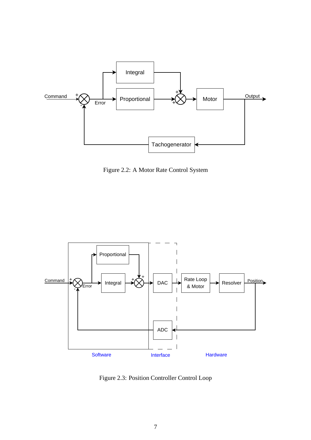

Figure 2.2: A Motor Rate Control System



Figure 2.3: Position Controller Control Loop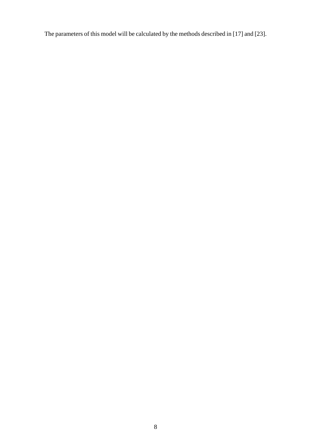The parameters of this model will be calculated by the methods described in [17] and [23].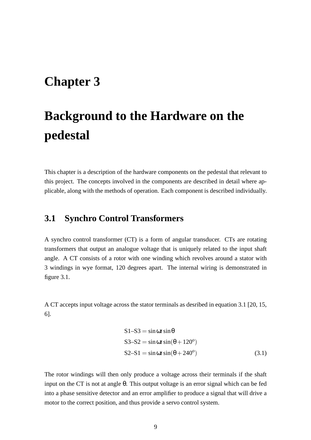## **Chapter 3**

# **Background to the Hardware on the pedestal**

This chapter is a description of the hardware components on the pedestal that relevant to this project. The concepts involved in the components are described in detail where applicable, along with the methods of operation. Each component is described individually.

### **3.1 Synchro Control Transformers**

A synchro control transformer (CT) is a form of angular transducer. CTs are rotating transformers that output an analogue voltage that is uniquely related to the input shaft angle. A CT consists of a rotor with one winding which revolves around a stator with 3 windings in wye format, 120 degrees apart. The internal wiring is demonstrated in figure 3.1.

A CT accepts input voltage across the stator terminals as desribed in equation 3.1 [20, 15, 6].

$$
S1-S3 = \sin \omega t \sin \theta
$$
  
\n
$$
S3-S2 = \sin \omega t \sin(\theta + 120^{\circ})
$$
  
\n
$$
S2-S1 = \sin \omega t \sin(\theta + 240^{\circ})
$$
\n(3.1)

The rotor windings will then only produce a voltage across their terminals if the shaft input on the CT is not at angle  $\theta$ . This output voltage is an error signal which can be fed into a phase sensitive detector and an error amplifier to produce a signal that will drive a motor to the correct position, and thus provide a servo control system.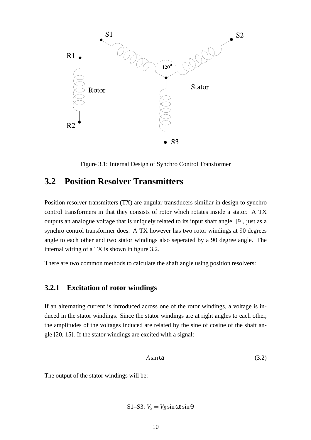

Figure 3.1: Internal Design of Synchro Control Transformer

## **3.2 Position Resolver Transmitters**

Position resolver transmitters (TX) are angular transducers similiar in design to synchro control transformers in that they consists of rotor which rotates inside a stator. A TX outputs an analogue voltage that is uniquely related to its input shaft angle [9], just as a synchro control transformer does. A TX however has two rotor windings at 90 degrees angle to each other and two stator windings also seperated by a 90 degree angle. The internal wiring of a TX is shown in figure 3.2.

There are two common methods to calculate the shaft angle using position resolvers:

#### **3.2.1 Excitation of rotor windings**

If an alternating current is introduced across one of the rotor windings, a voltage is induced in the stator windings. Since the stator windings are at right angles to each other, the amplitudes of the voltages induced are related by the sine of cosine of the shaft angle [20, 15]. If the stator windings are excited with a signal:

$$
A\sin\omega t\tag{3.2}
$$

The output of the stator windings will be:

$$
S1-S3: V_x = V_R \sin \omega t \sin \theta
$$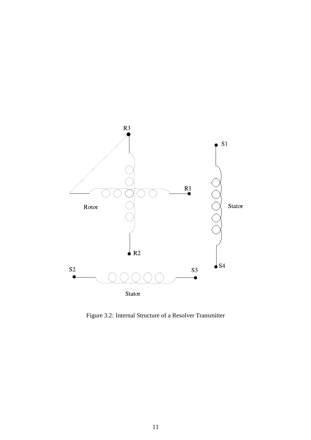

Figure 3.2: Internal Structure of a Resolver Transmitter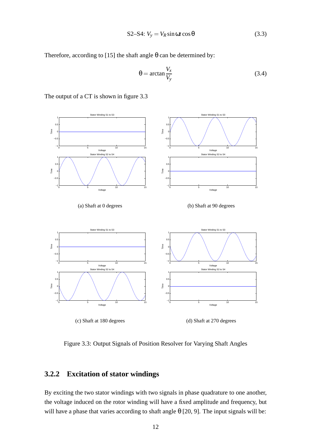$$
S2-S4: V_y = V_R \sin \omega t \cos \theta \tag{3.3}
$$

Therefore, according to [15] the shaft angle  $\theta$  can be determined by:

$$
\theta = \arctan \frac{V_x}{V_y} \tag{3.4}
$$



The output of a CT is shown in figure 3.3

Figure 3.3: Output Signals of Position Resolver for Varying Shaft Angles

#### **3.2.2 Excitation of stator windings**

By exciting the two stator windings with two signals in phase quadrature to one another, the voltage induced on the rotor winding will have a fixed amplitude and frequency, but will have a phase that varies according to shaft angle  $\theta$  [20, 9]. The input signals will be: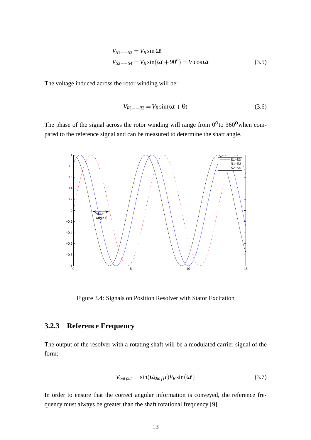$$
V_{S1--S3} = V_R \sin \omega t
$$
  
\n
$$
V_{S2--S4} = V_R \sin(\omega t + 90^\circ) = V \cos \omega t
$$
 (3.5)

The voltage induced across the rotor winding will be:

$$
V_{R1--R2} = V_R \sin(\omega t + \theta) \tag{3.6}
$$

The phase of the signal across the rotor winding will range from  $0^0$  to 360<sup>0</sup> when compared to the reference signal and can be measured to determine the shaft angle.



Figure 3.4: Signals on Position Resolver with Stator Excitation

#### **3.2.3 Reference Frequency**

The output of the resolver with a rotating shaft will be a modulated carrier signal of the form:

$$
V_{output} = \sin(\omega_{shaff} t) V_R \sin(\omega t)
$$
\n(3.7)

In order to ensure that the correct angular information is conveyed, the reference frequency must always be greater than the shaft rotational frequency [9].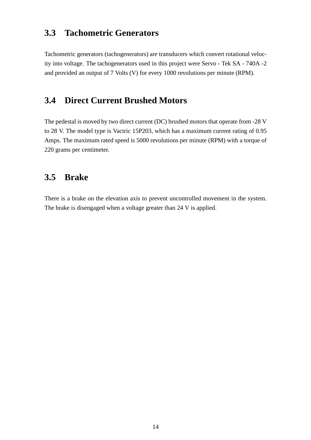## **3.3 Tachometric Generators**

Tachometric generators (tachogenerators) are transducers which convert rotational velocity into voltage. The tachogenerators used in this project were Servo - Tek SA - 740A -2 and provided an output of 7 Volts (V) for every 1000 revolutions per minute (RPM).

### **3.4 Direct Current Brushed Motors**

The pedestal is moved by two direct current (DC) brushed motors that operate from -28 V to 28 V. The model type is Vactric 15P203, which has a maximum current rating of 0.95 Amps. The maximum rated speed is 5000 revolutions per minute (RPM) with a torque of 220 grams per centimeter.

## **3.5 Brake**

There is a brake on the elevation axis to prevent uncontrolled movement in the system. The brake is disengaged when a voltage greater than 24 V is applied.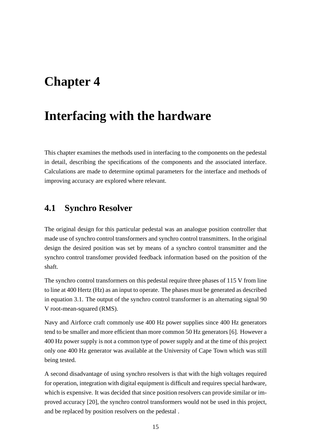## **Chapter 4**

## **Interfacing with the hardware**

This chapter examines the methods used in interfacing to the components on the pedestal in detail, describing the specifications of the components and the associated interface. Calculations are made to determine optimal parameters for the interface and methods of improving accuracy are explored where relevant.

### **4.1 Synchro Resolver**

The original design for this particular pedestal was an analogue position controller that made use of synchro control transformers and synchro control transmitters. In the original design the desired position was set by means of a synchro control transmitter and the synchro control transfomer provided feedback information based on the position of the shaft.

The synchro control transformers on this pedestal require three phases of 115 V from line to line at 400 Hertz (Hz) as an input to operate. The phases must be generated as described in equation 3.1. The output of the synchro control transformer is an alternating signal 90 V root-mean-squared (RMS).

Navy and Airforce craft commonly use 400 Hz power supplies since 400 Hz generators tend to be smaller and more efficient than more common 50 Hz generators [6]. However a 400 Hz power supply is not a common type of power supply and at the time of this project only one 400 Hz generator was available at the University of Cape Town which was still being tested.

A second disadvantage of using synchro resolvers is that with the high voltages required for operation, integration with digital equipment is difficult and requires special hardware, which is expensive. It was decided that since position resolvers can provide similar or improved accuracy [20], the synchro control transformers would not be used in this project, and be replaced by position resolvers on the pedestal .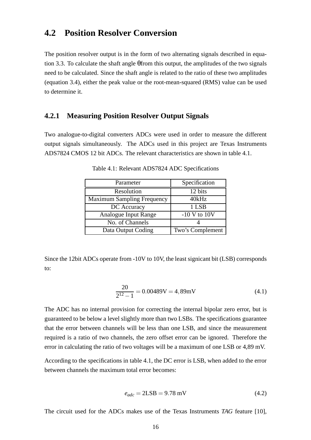### **4.2 Position Resolver Conversion**

The position resolver output is in the form of two alternating signals described in equation 3.3. To calculate the shaft angle θfrom this output, the amplitudes of the two signals need to be calculated. Since the shaft angle is related to the ratio of these two amplitudes (equation 3.4), either the peak value or the root-mean-squared (RMS) value can be used to determine it.

#### **4.2.1 Measuring Position Resolver Output Signals**

Two analogue-to-digital converters ADCs were used in order to measure the different output signals simultaneously. The ADCs used in this project are Texas Instruments ADS7824 CMOS 12 bit ADCs. The relevant characteristics are shown in table 4.1.

| Parameter                         | Specification    |
|-----------------------------------|------------------|
| Resolution                        | 12 bits          |
| <b>Maximum Sampling Frequency</b> | 40kHz            |
| DC Accuracy                       | 1 LSB            |
| <b>Analogue Input Range</b>       | $-10$ V to $10V$ |
| No. of Channels                   |                  |
| Data Output Coding                | Two's Complement |

Table 4.1: Relevant ADS7824 ADC Specifications

Since the 12bit ADCs operate from -10V to 10V, the least signicant bit (LSB) corresponds to:

$$
\frac{20}{2^{12} - 1} = 0.00489 \text{V} = 4,89 \text{mV} \tag{4.1}
$$

The ADC has no internal provision for correcting the internal bipolar zero error, but is guaranteed to be below a level slightly more than two LSBs. The specifications guarantee that the error between channels will be less than one LSB, and since the measurement required is a ratio of two channels, the zero offset error can be ignored. Therefore the error in calculating the ratio of two voltages will be a maximum of one LSB or 4,89 mV.

According to the specifications in table 4.1, the DC error is LSB, when added to the error between channels the maximum total error becomes:

$$
e_{adc} = 2LSB = 9.78 \text{ mV}
$$
\n
$$
(4.2)
$$

The circuit used for the ADCs makes use of the Texas Instruments *TAG* feature [10],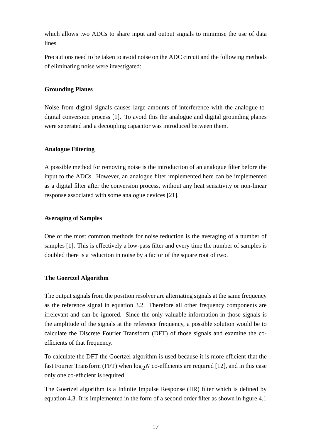which allows two ADCs to share input and output signals to minimise the use of data lines.

Precautions need to be taken to avoid noise on the ADC circuit and the following methods of eliminating noise were investigated:

#### **Grounding Planes**

Noise from digital signals causes large amounts of interference with the analogue-todigital conversion process [1]. To avoid this the analogue and digital grounding planes were seperated and a decoupling capacitor was introduced between them.

#### **Analogue Filtering**

A possible method for removing noise is the introduction of an analogue filter before the input to the ADCs. However, an analogue filter implemented here can be implemented as a digital filter after the conversion process, without any heat sensitivity or non-linear response associated with some analogue devices [21].

#### **Averaging of Samples**

One of the most common methods for noise reduction is the averaging of a number of samples [1]. This is effectively a low-pass filter and every time the number of samples is doubled there is a reduction in noise by a factor of the square root of two.

#### **The Goertzel Algorithm**

The output signals from the position resolver are alternating signals at the same frequency as the reference signal in equation 3.2. Therefore all other frequency components are irrelevant and can be ignored. Since the only valuable information in those signals is the amplitude of the signals at the reference frequency, a possible solution would be to calculate the Discrete Fourier Transform (DFT) of those signals and examine the coefficients of that frequency.

To calculate the DFT the Goertzel algorithm is used because it is more efficient that the fast Fourier Transform (FFT) when  $\log_2 N$  co-efficients are required [12], and in this case only one co-efficient is required.

The Goertzel algorithm is a Infinite Impulse Response (IIR) filter which is defined by equation 4.3. It is implemented in the form of a second order filter as shown in figure 4.1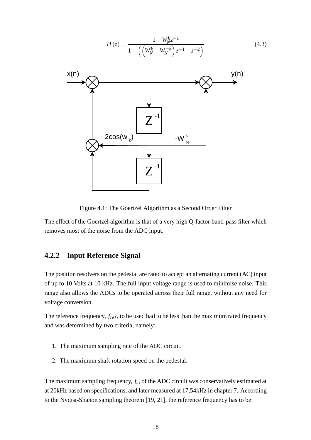$$
H(z) = \frac{1 - W_N^k z^{-1}}{1 - ((W_N^k - W_N^{-k}) z^{-1} + z^{-2})}
$$
(4.3)

Figure 4.1: The Goertzel Algorithm as a Second Order Filter

The effect of the Goertzel algorithm is that of a very high Q-factor band-pass filter which removes most of the noise from the ADC input.

#### **4.2.2 Input Reference Signal**

The position resolvers on the pedestal are rated to accept an alternating current (AC) input of up to 10 Volts at 10 kHz. The full input voltage range is used to minimise noise. This range also allows the ADCs to be operated across their full range, without any need for voltage conversion.

The reference frequency,  $f_{ref}$ , to be used had to be less than the maximum rated frequency and was determined by two criteria, namely:

- 1. The maximum sampling rate of the ADC circuit.
- 2. The maximum shaft rotation speed on the pedestal.

The maximum sampling frequency, *f<sup>s</sup>* , of the ADC circuit was conservatively estimated at at 20kHz based on specifications, and later measured at 17,54kHz in chapter 7. According to the Nyqist-Shanon sampling theorem [19, 21], the reference frequency has to be: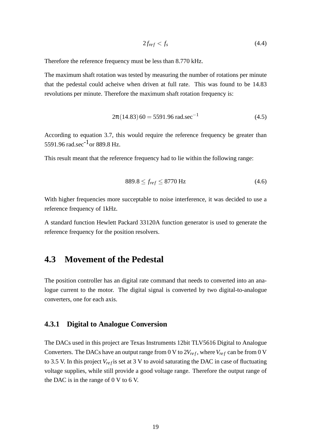$$
2f_{ref} < f_s \tag{4.4}
$$

Therefore the reference frequency must be less than 8.770 kHz.

The maximum shaft rotation was tested by measuring the number of rotations per minute that the pedestal could acheive when driven at full rate. This was found to be 14.83 revolutions per minute. Therefore the maximum shaft rotation frequency is:

$$
2\pi (14.83) 60 = 5591.96 \text{ rad.sec}^{-1}
$$
 (4.5)

According to equation 3.7, this would require the reference frequency be greater than 5591.96 rad.sec<sup>-1</sup> or 889.8 Hz.

This result meant that the reference frequency had to lie within the following range:

$$
889.8 \le f_{ref} \le 8770 \text{ Hz}
$$
\n(4.6)

With higher frequencies more succeptable to noise interference, it was decided to use a reference frequency of 1kHz.

A standard function Hewlett Packard 33120A function generator is used to generate the reference frequency for the position resolvers.

### **4.3 Movement of the Pedestal**

The position controller has an digital rate command that needs to converted into an analogue current to the motor. The digital signal is converted by two digital-to-analogue converters, one for each axis.

#### **4.3.1 Digital to Analogue Conversion**

The DACs used in this project are Texas Instruments 12bit TLV5616 Digital to Analogue Converters. The DACs have an output range from 0 V to  $2V_{ref}$ , where  $V_{ref}$  can be from 0 V to 3.5 V. In this project  $V_{ref}$  is set at 3 V to avoid saturating the DAC in case of fluctuating voltage supplies, while still provide a good voltage range. Therefore the output range of the DAC is in the range of 0 V to 6 V.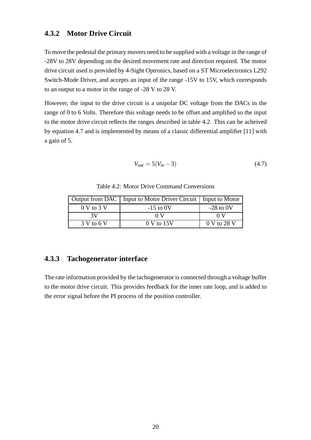#### **4.3.2 Motor Drive Circuit**

To move the pedestal the primary movers need to be supplied with a voltage in the range of -28V to 28V depending on the desired movement rate and direction required. The motor drive circuit used is provided by 4-Sight Optronics, based on a ST Microelectronics L292 Switch-Mode Driver, and accepts an input of the range -15V to 15V, which corresponds to an output to a motor in the range of -28 V to 28 V.

However, the input to the drive circuit is a unipolar DC voltage from the DACs in the range of 0 to 6 Volts. Therefore this voltage needs to be offset and amplified so the input to the motor drive circuit reflects the ranges described in table 4.2. This can be acheived by equation 4.7 and is implemented by means of a classic differential amplifier [11] with a gain of 5.

$$
V_{out} = 5(V_{in} - 3)
$$
 (4.7)

Table 4.2: Motor Drive Command Conversions

|                | Output from DAC   Input to Motor Driver Circuit   Input to Motor |             |
|----------------|------------------------------------------------------------------|-------------|
| $0 V$ to $3 V$ | $-15$ to 0V                                                      | $-28$ to 0V |
| 3V             | 0 V                                                              | 0 V         |
| 3 V to 6 V     | 0 V to 15V                                                       | 0 V to 28 V |

#### **4.3.3 Tachogenerator interface**

The rate information provided by the tachogenerator is connected through a voltage buffer to the motor drive circuit. This provides feedback for the inner rate loop, and is added to the error signal before the PI process of the position controller.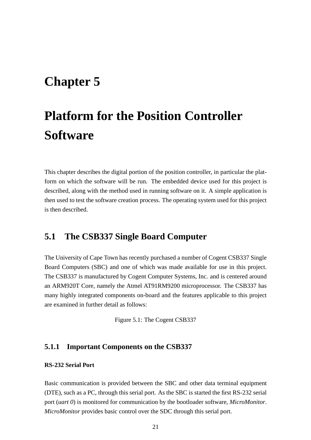## **Chapter 5**

# **Platform for the Position Controller Software**

This chapter describes the digital portion of the position controller, in particular the platform on which the software will be run. The embedded device used for this project is described, along with the method used in running software on it. A simple application is then used to test the software creation process. The operating system used for this project is then described.

### **5.1 The CSB337 Single Board Computer**

The University of Cape Town has recently purchased a number of Cogent CSB337 Single Board Computers (SBC) and one of which was made available for use in this project. The CSB337 is manufactured by Cogent Computer Systems, Inc. and is centered around an ARM920T Core, namely the Atmel AT91RM9200 microprocessor. The CSB337 has many highly integrated components on-board and the features applicable to this project are examined in further detail as follows:

Figure 5.1: The Cogent CSB337

#### **5.1.1 Important Components on the CSB337**

#### **RS-232 Serial Port**

Basic communication is provided between the SBC and other data terminal equipment (DTE), such as a PC, through this serial port. As the SBC is started the first RS-232 serial port (*uart 0*) is monitored for communication by the bootloader software, *MicroMonitor*. *MicroMonitor* provides basic control over the SDC through this serial port.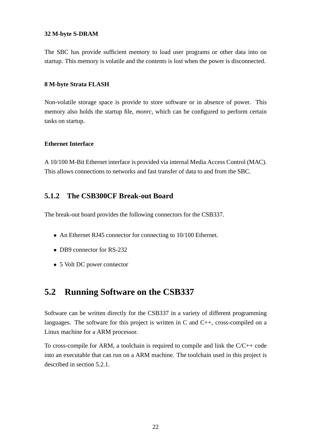#### **32 M-byte S-DRAM**

The SBC has provide sufficient memory to load user programs or other data into on startup. This memory is volatile and the contents is lost when the power is disconnected.

#### **8 M-byte Strata FLASH**

Non-volatile storage space is provide to store software or in absence of power. This memory also holds the startup file, *monrc*, which can be configured to perform certain tasks on startup.

#### **Ethernet Interface**

A 10/100 M-Bit Ethernet interface is provided via internal Media Access Control (MAC). This allows connections to networks and fast transfer of data to and from the SBC.

#### **5.1.2 The CSB300CF Break-out Board**

The break-out board provides the following connectors for the CSB337.

- An Ethernet RJ45 connector for connecting to 10/100 Ethernet.
- DB9 connector for RS-232
- 5 Volt DC power connector

## **5.2 Running Software on the CSB337**

Software can be written directly for the CSB337 in a variety of different programming languages. The software for this project is written in C and  $C_{++}$ , cross-compiled on a Linux machine for a ARM processor.

To cross-compile for ARM, a toolchain is required to compile and link the C/C++ code into an executable that can run on a ARM machine. The toolchain used in this project is described in section 5.2.1.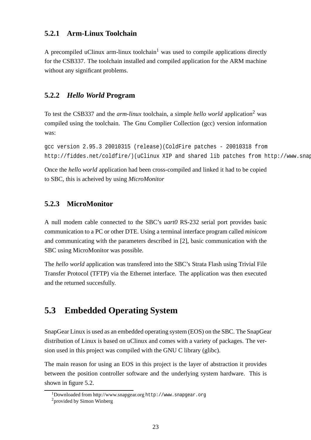#### **5.2.1 Arm-Linux Toolchain**

A precompiled uClinux arm-linux toolchain<sup>1</sup> was used to compile applications directly for the CSB337. The toolchain installed and compiled application for the ARM machine without any significant problems.

#### **5.2.2** *Hello World* **Program**

To test the CSB337 and the *arm-linux* toolchain, a simple *hello world* application<sup>2</sup> was compiled using the toolchain. The Gnu Complier Collection (gcc) version information was:

```
gcc version 2.95.3 20010315 (release)(ColdFire patches - 20010318 from
http://fiddes.net/coldfire/)(uClinux XIP and shared lib patches from http://www.snap
```
Once the *hello world* application had been cross-compiled and linked it had to be copied to SBC, this is acheived by using *MicroMonitor*

### **5.2.3 MicroMonitor**

A null modem cable connected to the SBC's *uart0* RS-232 serial port provides basic communication to a PC or other DTE. Using a terminal interface program called *minicom* and communicating with the parameters described in [2], basic communication with the SBC using MicroMonitor was possible.

The *hello world* application was transfered into the SBC's Strata Flash using Trivial File Transfer Protocol (TFTP) via the Ethernet interface. The application was then executed and the returned succesfully.

## **5.3 Embedded Operating System**

SnapGear Linux is used as an embedded operating system (EOS) on the SBC. The SnapGear distribution of Linux is based on uClinux and comes with a variety of packages. The version used in this project was compiled with the GNU C library (glibc).

The main reason for using an EOS in this project is the layer of abstraction it provides between the position controller software and the underlying system hardware. This is shown in figure 5.2.

<sup>1</sup>Downloaded from http://www.snapgear.org http://www.snapgear.org

<sup>2</sup>provided by Simon Winberg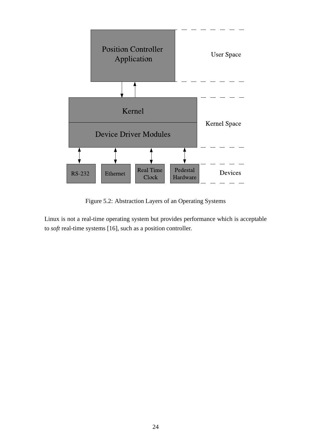

Figure 5.2: Abstraction Layers of an Operating Systems

Linux is not a real-time operating system but provides performance which is acceptable to *soft* real-time systems [16]*,* such as a position controller.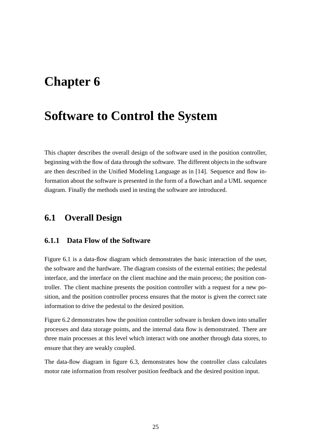## **Chapter 6**

## **Software to Control the System**

This chapter describes the overall design of the software used in the position controller, beginning with the flow of data through the software. The different objects in the software are then described in the Unified Modeling Language as in [14]. Sequence and flow information about the software is presented in the form of a flowchart and a UML sequence diagram. Finally the methods used in testing the software are introduced.

### **6.1 Overall Design**

#### **6.1.1 Data Flow of the Software**

Figure 6.1 is a data-flow diagram which demonstrates the basic interaction of the user, the software and the hardware. The diagram consists of the external entities; the pedestal interface, and the interface on the client machine and the main process; the position controller. The client machine presents the position controller with a request for a new position, and the position controller process ensures that the motor is given the correct rate information to drive the pedestal to the desired position.

Figure 6.2 demonstrates how the position controller software is broken down into smaller processes and data storage points, and the internal data flow is demonstrated. There are three main processes at this level which interact with one another through data stores, to ensure that they are weakly coupled.

The data-flow diagram in figure 6.3, demonstrates how the controller class calculates motor rate information from resolver position feedback and the desired position input.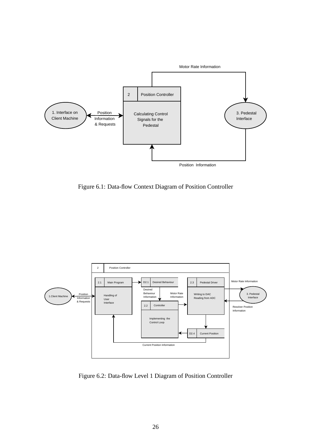

Figure 6.1: Data-flow Context Diagram of Position Controller



Figure 6.2: Data-flow Level 1 Diagram of Position Controller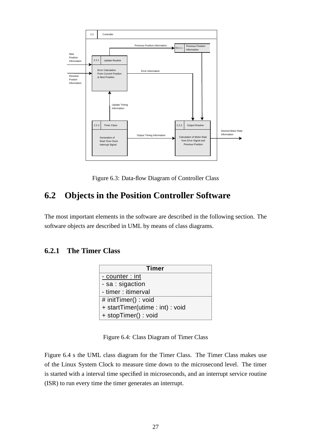

Figure 6.3: Data-flow Diagram of Controller Class

## **6.2 Objects in the Position Controller Software**

The most important elements in the software are described in the following section. The software objects are described in UML by means of class diagrams.

### **6.2.1 The Timer Class**

| <b>Timer</b>                   |
|--------------------------------|
| - counter : int                |
| - sa : sigaction               |
| - timer : itimerval            |
| # initTimer() : void           |
| + startTimer(utime: int): void |
| + stopTimer() : void           |

Figure 6.4: Class Diagram of Timer Class

Figure 6.4 s the UML class diagram for the Timer Class. The Timer Class makes use of the Linux System Clock to measure time down to the microsecond level. The timer is started with a interval time specified in microseconds, and an interrupt service routine (ISR) to run every time the timer generates an interrupt.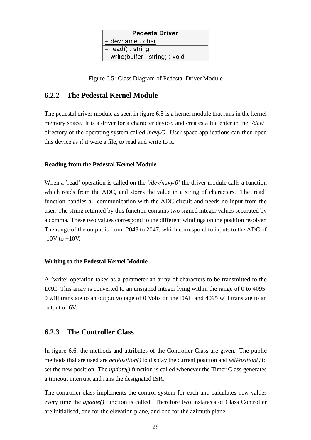| <b>PedestalDriver</b>          |
|--------------------------------|
| $+$ devname : char             |
| $+$ read() : string            |
| + write(buffer: string) : void |

Figure 6.5: Class Diagram of Pedestal Driver Module

#### **6.2.2 The Pedestal Kernel Module**

The pedestal driver module as seen in figure 6.5 is a kernel module that runs in the kernel memory space. It is a driver for a character device, and creates a file enter in the '*/dev/*' directory of the operating system called */navy/0*. User-space applications can then open this device as if it were a file, to read and write to it.

#### **Reading from the Pedestal Kernel Module**

When a 'read' operation is called on the '/dev/navy/0' the driver module calls a function which reads from the ADC, and stores the value in a string of characters. The 'read' function handles all communication with the ADC circuit and needs no input from the user. The string returned by this function contains two signed integer values separated by a comma. These two values correspond to the different windings on the position resolver. The range of the output is from -2048 to 2047, which correspond to inputs to the ADC of  $-10V$  to  $+10V$ .

#### **Writing to the Pedestal Kernel Module**

A 'write' operation takes as a parameter an array of characters to be transmitted to the DAC. This array is converted to an unsigned integer lying within the range of 0 to 4095. 0 will translate to an output voltage of 0 Volts on the DAC and 4095 will translate to an output of 6V.

#### **6.2.3 The Controller Class**

In figure 6.6, the methods and attributes of the Controller Class are given. The public methods that are used are *getPosition()* to display the current position and *setPosition()* to set the new position. The *update()* function is called whenever the Timer Class generates a timeout interrupt and runs the designated ISR.

The controller class implements the control system for each and calculates new values every time the *update()* function is called. Therefore two instances of Class Controller are initialised, one for the elevation plane, and one for the azimuth plane.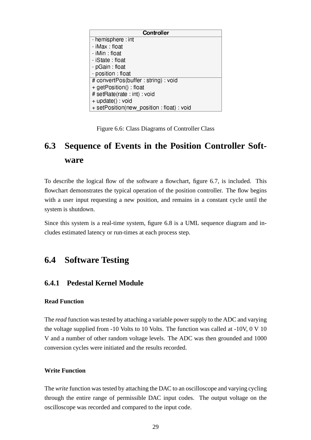| <b>Controller</b>                      |
|----------------------------------------|
| - hemisphere int                       |
| - iMax float                           |
| - iMin float                           |
| - iState float                         |
| - pGain float                          |
| - position float                       |
| # convertPos(buffer string) void       |
| + getPosition() float                  |
| # setRate(rate int) void               |
| + update() void                        |
| + setPosition(new position float) void |

Figure 6.6: Class Diagrams of Controller Class

## **6.3 Sequence of Events in the Position Controller Software**

To describe the logical flow of the software a flowchart, figure 6.7, is included. This flowchart demonstrates the typical operation of the position controller. The flow begins with a user input requesting a new position, and remains in a constant cycle until the system is shutdown.

Since this system is a real-time system, figure 6.8 is a UML sequence diagram and includes estimated latency or run-times at each process step.

## **6.4 Software Testing**

#### **6.4.1 Pedestal Kernel Module**

#### **Read Function**

The *read* function was tested by attaching a variable power supply to the ADC and varying the voltage supplied from -10 Volts to 10 Volts. The function was called at -10V, 0 V 10 V and a number of other random voltage levels. The ADC was then grounded and 1000 conversion cycles were initiated and the results recorded.

#### **Write Function**

The *write* function was tested by attaching the DAC to an oscilloscope and varying cycling through the entire range of permissible DAC input codes. The output voltage on the oscilloscope was recorded and compared to the input code.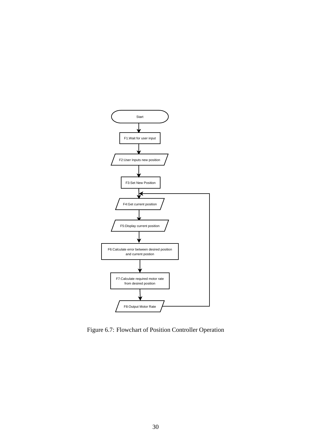

Figure 6.7: Flowchart of Position Controller Operation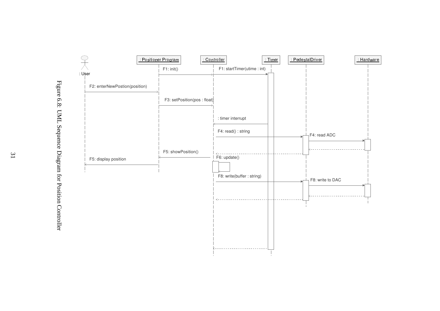

Figure 6.8: UML Sequence Diagram for Position Controller Figure 6.8: UML Sequence Diagram for Position Controller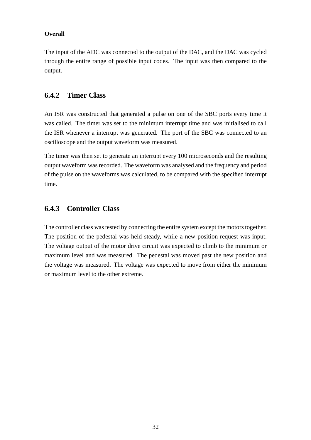#### **Overall**

The input of the ADC was connected to the output of the DAC, and the DAC was cycled through the entire range of possible input codes. The input was then compared to the output.

#### **6.4.2 Timer Class**

An ISR was constructed that generated a pulse on one of the SBC ports every time it was called. The timer was set to the minimum interrupt time and was initialised to call the ISR whenever a interrupt was generated. The port of the SBC was connected to an oscilloscope and the output waveform was measured.

The timer was then set to generate an interrupt every 100 microseconds and the resulting output waveform was recorded. The waveform was analysed and the frequency and period of the pulse on the waveforms was calculated, to be compared with the specified interrupt time.

#### **6.4.3 Controller Class**

The controller class was tested by connecting the entire system except the motors together. The position of the pedestal was held steady, while a new position request was input. The voltage output of the motor drive circuit was expected to climb to the minimum or maximum level and was measured. The pedestal was moved past the new position and the voltage was measured. The voltage was expected to move from either the minimum or maximum level to the other extreme.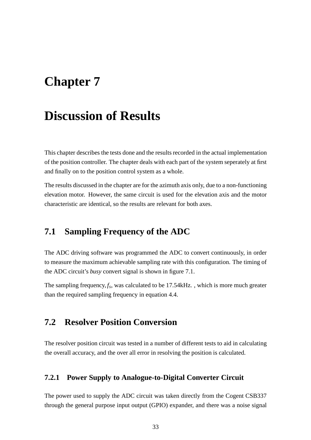## **Chapter 7**

## **Discussion of Results**

This chapter describes the tests done and the results recorded in the actual implementation of the position controller. The chapter deals with each part of the system seperately at first and finally on to the position control system as a whole.

The results discussed in the chapter are for the azimuth axis only, due to a non-functioning elevation motor. However, the same circuit is used for the elevation axis and the motor characteristic are identical, so the results are relevant for both axes.

### **7.1 Sampling Frequency of the ADC**

The ADC driving software was programmed the ADC to convert continuously, in order to measure the maximum achievable sampling rate with this configuration. The timing of the ADC circuit's *busy* convert signal is shown in figure 7.1.

The sampling frequency,  $f_s$ , was calculated to be 17.54kHz., which is more much greater than the required sampling frequency in equation 4.4.

### **7.2 Resolver Position Conversion**

The resolver position circuit was tested in a number of different tests to aid in calculating the overall accuracy, and the over all error in resolving the position is calculated.

#### **7.2.1 Power Supply to Analogue-to-Digital Converter Circuit**

The power used to supply the ADC circuit was taken directly from the Cogent CSB337 through the general purpose input output (GPIO) expander, and there was a noise signal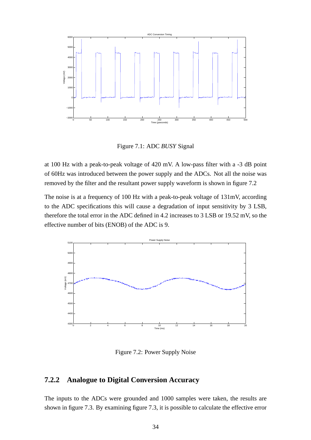

Figure 7.1: ADC *BUSY* Signal

at 100 Hz with a peak-to-peak voltage of 420 mV. A low-pass filter with a -3 dB point of 60Hz was introduced between the power supply and the ADCs. Not all the noise was removed by the filter and the resultant power supply waveform is shown in figure 7.2

The noise is at a frequency of 100 Hz with a peak-to-peak voltage of 131mV, according to the ADC specifications this will cause a degradation of input sensitivity by 3 LSB, therefore the total error in the ADC defined in 4.2 increases to 3 LSB or 19.52 mV, so the effective number of bits (ENOB) of the ADC is 9.



Figure 7.2: Power Supply Noise

#### **7.2.2 Analogue to Digital Conversion Accuracy**

The inputs to the ADCs were grounded and 1000 samples were taken, the results are shown in figure 7.3. By examining figure 7.3, it is possible to calculate the effective error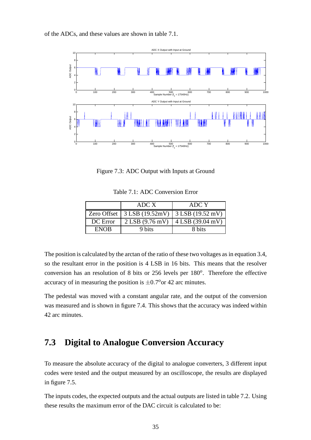of the ADCs, and these values are shown in table 7.1.



Figure 7.3: ADC Output with Inputs at Ground

Table 7.1: ADC Conversion Error

|             | ADC X                       | ADC Y                                                |
|-------------|-----------------------------|------------------------------------------------------|
|             |                             | Zero Offset   $3$ LSB (19.52mV)   $3$ LSB (19.52 mV) |
| DC Error    | $2$ LSB $(9.76 \text{ mV})$ | $4$ LSB (39.04 mV)                                   |
| <b>ENOR</b> | 9 bits                      | 8 bits                                               |

The position is calculated by the arctan of the ratio of these two voltages as in equation 3.4, so the resultant error in the position is 4 LSB in 16 bits. This means that the resolver conversion has an resolution of 8 bits or 256 levels per 180<sup>o</sup>. Therefore the effective accuracy of in measuring the position is  $\pm 0.7^\circ$  or 42 arc minutes.

The pedestal was moved with a constant angular rate, and the output of the conversion was measured and is shown in figure 7.4. This shows that the accuracy was indeed within 42 arc minutes.

### **7.3 Digital to Analogue Conversion Accuracy**

To measure the absolute accuracy of the digital to analogue converters, 3 different input codes were tested and the output measured by an oscilloscope, the results are displayed in figure 7.5.

The inputs codes, the expected outputs and the actual outputs are listed in table 7.2. Using these results the maximum error of the DAC circuit is calculated to be: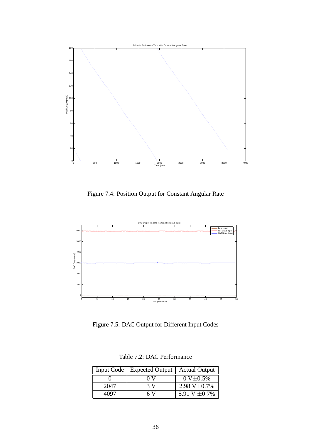

Figure 7.4: Position Output for Constant Angular Rate



Figure 7.5: DAC Output for Different Input Codes

|      | Input Code   Expected Output | <b>Actual Output</b>    |
|------|------------------------------|-------------------------|
|      | oν                           | $0 \text{ V} \pm 0.5\%$ |
| 2047 | 3 V                          | 2.98 V $\pm$ 0.7%       |
| 4097 | 6 V                          | 5.91 V $\pm$ 0.7%       |

Table 7.2: DAC Performance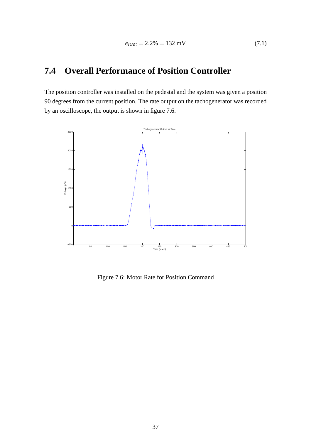## **7.4 Overall Performance of Position Controller**

The position controller was installed on the pedestal and the system was given a position 90 degrees from the current position. The rate output on the tachogenerator was recorded by an oscilloscope, the output is shown in figure 7.6.



Figure 7.6: Motor Rate for Position Command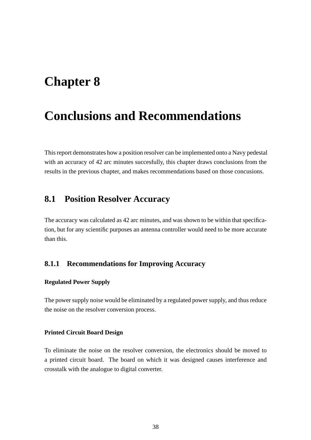## **Chapter 8**

## **Conclusions and Recommendations**

This report demonstrates how a position resolver can be implemented onto a Navy pedestal with an accuracy of 42 arc minutes succesfully, this chapter draws conclusions from the results in the previous chapter, and makes recommendations based on those concusions.

### **8.1 Position Resolver Accuracy**

The accuracy was calculated as 42 arc minutes, and was shown to be within that specification, but for any scientific purposes an antenna controller would need to be more accurate than this.

#### **8.1.1 Recommendations for Improving Accuracy**

#### **Regulated Power Supply**

The power supply noise would be eliminated by a regulated power supply, and thus reduce the noise on the resolver conversion process.

#### **Printed Circuit Board Design**

To eliminate the noise on the resolver conversion, the electronics should be moved to a printed circuit board. The board on which it was designed causes interference and crosstalk with the analogue to digital converter.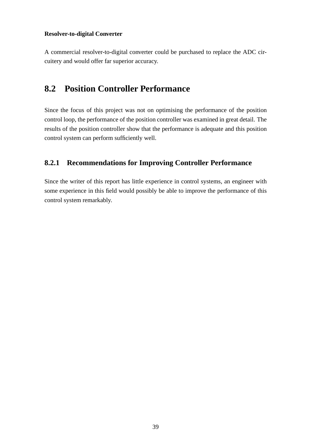#### **Resolver-to-digital Converter**

A commercial resolver-to-digital converter could be purchased to replace the ADC circuitery and would offer far superior accuracy.

### **8.2 Position Controller Performance**

Since the focus of this project was not on optimising the performance of the position control loop, the performance of the position controller was examined in great detail. The results of the position controller show that the performance is adequate and this position control system can perform sufficiently well.

#### **8.2.1 Recommendations for Improving Controller Performance**

Since the writer of this report has little experience in control systems, an engineer with some experience in this field would possibly be able to improve the performance of this control system remarkably.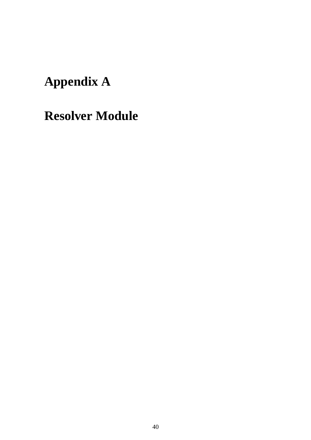# **Appendix A**

# **Resolver Module**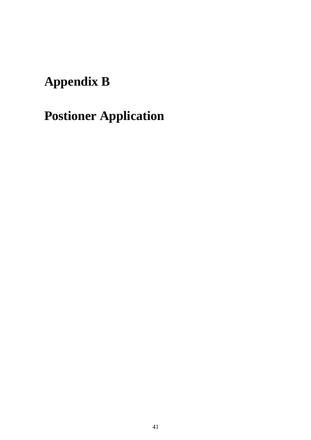# **Appendix B**

# **Postioner Application**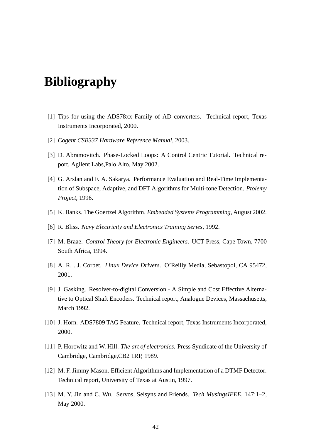## **Bibliography**

- [1] Tips for using the ADS78xx Family of AD converters. Technical report, Texas Instruments Incorporated, 2000.
- [2] *Cogent CSB337 Hardware Reference Manual*, 2003.
- [3] D. Abramovitch. Phase-Locked Loops: A Control Centric Tutorial. Technical report, Agilent Labs,Palo Alto, May 2002.
- [4] G. Arslan and F. A. Sakarya. Performance Evaluation and Real-Time Implementation of Subspace, Adaptive, and DFT Algorithms for Multi-tone Detection. *Ptolemy Project*, 1996.
- [5] K. Banks. The Goertzel Algorithm. *Embedded Systems Programming*, August 2002.
- [6] R. Bliss. *Navy Electricity and Electronics Training Series*, 1992.
- [7] M. Braae. *Control Theory for Electronic Engineers*. UCT Press, Cape Town, 7700 South Africa, 1994.
- [8] A. R. . J. Corbet. *Linux Device Drivers*. O'Reilly Media, Sebastopol, CA 95472, 2001.
- [9] J. Gasking. Resolver-to-digital Conversion A Simple and Cost Effective Alternative to Optical Shaft Encoders. Technical report, Analogue Devices, Massachusetts, March 1992.
- [10] J. Horn. ADS7809 TAG Feature. Technical report, Texas Instruments Incorporated, 2000.
- [11] P. Horowitz and W. Hill. *The art of electronics*. Press Syndicate of the University of Cambridge, Cambridge,CB2 1RP, 1989.
- [12] M. F. Jimmy Mason. Efficient Algorithms and Implementation of a DTMF Detector. Technical report, University of Texas at Austin, 1997.
- [13] M. Y. Jin and C. Wu. Servos, Selsyns and Friends. *Tech MusingsIEEE*, 147:1–2, May 2000.